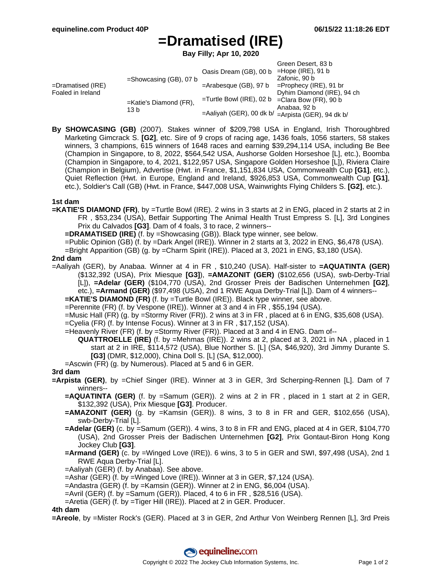# **=Dramatised (IRE)**

**Bay Filly; Apr 10, 2020**

|                                           |                                   |                                                      | Green Desert, 83 b         |
|-------------------------------------------|-----------------------------------|------------------------------------------------------|----------------------------|
| $=$ Dramatised (IRE)<br>Foaled in Ireland | $=$ Showcasing (GB), 07 b         | Oasis Dream (GB), 00 b                               | $=$ Hope (IRE), 91 b       |
|                                           |                                   |                                                      | Zafonic, 90 b              |
|                                           |                                   | $=$ Arabesque (GB), 97 b                             | $=$ Prophecy (IRE), 91 br  |
|                                           | $=$ Katie's Diamond (FR),<br>13 b |                                                      | Dyhim Diamond (IRE), 94 ch |
|                                           |                                   | $=$ Turtle Bowl (IRE), 02 b $=$ Clara Bow (FR), 90 b |                            |
|                                           |                                   |                                                      | Anabaa, 92 b               |
|                                           |                                   | =Aaliyah (GER), 00 dk b/ =Arpista (GER), 94 dk b/    |                            |

**By SHOWCASING (GB)** (2007). Stakes winner of \$209,798 USA in England, Irish Thoroughbred Marketing Gimcrack S. **[G2]**, etc. Sire of 9 crops of racing age, 1436 foals, 1056 starters, 58 stakes winners, 3 champions, 615 winners of 1648 races and earning \$39,294,114 USA, including Be Bee (Champion in Singapore, to 8, 2022, \$564,542 USA, Aushorse Golden Horseshoe [L], etc.), Boomba (Champion in Singapore, to 4, 2021, \$122,957 USA, Singapore Golden Horseshoe [L]), Riviera Claire (Champion in Belgium), Advertise (Hwt. in France, \$1,151,834 USA, Commonwealth Cup **[G1]**, etc.), Quiet Reflection (Hwt. in Europe, England and Ireland, \$926,853 USA, Commonwealth Cup **[G1]**, etc.), Soldier's Call (GB) (Hwt. in France, \$447,008 USA, Wainwrights Flying Childers S. **[G2]**, etc.).

## **1st dam**

- **=KATIE'S DIAMOND (FR)**, by =Turtle Bowl (IRE). 2 wins in 3 starts at 2 in ENG, placed in 2 starts at 2 in FR , \$53,234 (USA), Betfair Supporting The Animal Health Trust Empress S. [L], 3rd Longines Prix du Calvados **[G3]**. Dam of 4 foals, 3 to race, 2 winners--
	- **=DRAMATISED (IRE)** (f. by =Showcasing (GB)). Black type winner, see below.
	- =Public Opinion (GB) (f. by =Dark Angel (IRE)). Winner in 2 starts at 3, 2022 in ENG, \$6,478 (USA).
	- =Bright Apparition (GB) (g. by =Charm Spirit (IRE)). Placed at 3, 2021 in ENG, \$3,180 (USA).

#### **2nd dam**

- =Aaliyah (GER), by Anabaa. Winner at 4 in FR , \$10,240 (USA). Half-sister to **=AQUATINTA (GER)** (\$132,392 (USA), Prix Miesque **[G3]**), **=AMAZONIT (GER)** (\$102,656 (USA), swb-Derby-Trial [L]), **=Adelar (GER)** (\$104,770 (USA), 2nd Grosser Preis der Badischen Unternehmen **[G2]**, etc.), **=Armand (GER)** (\$97,498 (USA), 2nd 1 RWE Aqua Derby-Trial [L]). Dam of 4 winners--
	- **=KATIE'S DIAMOND (FR)** (f. by =Turtle Bowl (IRE)). Black type winner, see above.
	- =Perennite (FR) (f. by Vespone (IRE)). Winner at 3 and 4 in FR , \$55,194 (USA).
	- =Music Hall (FR) (g. by =Stormy River (FR)). 2 wins at 3 in FR , placed at 6 in ENG, \$35,608 (USA).
	- =Cyelia (FR) (f. by Intense Focus). Winner at 3 in FR , \$17,152 (USA).
	- =Heavenly River (FR) (f. by =Stormy River (FR)). Placed at 3 and 4 in ENG. Dam of--

**QUATTROELLE (IRE)** (f. by =Mehmas (IRE)). 2 wins at 2, placed at 3, 2021 in NA , placed in 1 start at 2 in IRE, \$114,572 (USA), Blue Norther S. [L] (SA, \$46,920), 3rd Jimmy Durante S. **[G3]** (DMR, \$12,000), China Doll S. [L] (SA, \$12,000).

=Ascwin (FR) (g. by Numerous). Placed at 5 and 6 in GER.

## **3rd dam**

- **=Arpista (GER)**, by =Chief Singer (IRE). Winner at 3 in GER, 3rd Scherping-Rennen [L]. Dam of 7 winners--
	- **=AQUATINTA (GER)** (f. by =Samum (GER)). 2 wins at 2 in FR , placed in 1 start at 2 in GER, \$132,392 (USA), Prix Miesque **[G3]**. Producer.
	- **=AMAZONIT (GER)** (g. by =Kamsin (GER)). 8 wins, 3 to 8 in FR and GER, \$102,656 (USA), swb-Derby-Trial [L].
	- **=Adelar (GER)** (c. by =Samum (GER)). 4 wins, 3 to 8 in FR and ENG, placed at 4 in GER, \$104,770 (USA), 2nd Grosser Preis der Badischen Unternehmen **[G2]**, Prix Gontaut-Biron Hong Kong Jockey Club **[G3]**.
	- **=Armand (GER)** (c. by =Winged Love (IRE)). 6 wins, 3 to 5 in GER and SWI, \$97,498 (USA), 2nd 1 RWE Aqua Derby-Trial [L].
	- =Aaliyah (GER) (f. by Anabaa). See above.
	- =Ashar (GER) (f. by =Winged Love (IRE)). Winner at 3 in GER, \$7,124 (USA).
	- =Andastra (GER) (f. by =Kamsin (GER)). Winner at 2 in ENG, \$6,004 (USA).
	- =Avril (GER) (f. by =Samum (GER)). Placed, 4 to 6 in FR , \$28,516 (USA).
	- =Aretia (GER) (f. by =Tiger Hill (IRE)). Placed at 2 in GER. Producer.

#### **4th dam**

**=Areole**, by =Mister Rock's (GER). Placed at 3 in GER, 2nd Arthur Von Weinberg Rennen [L], 3rd Preis